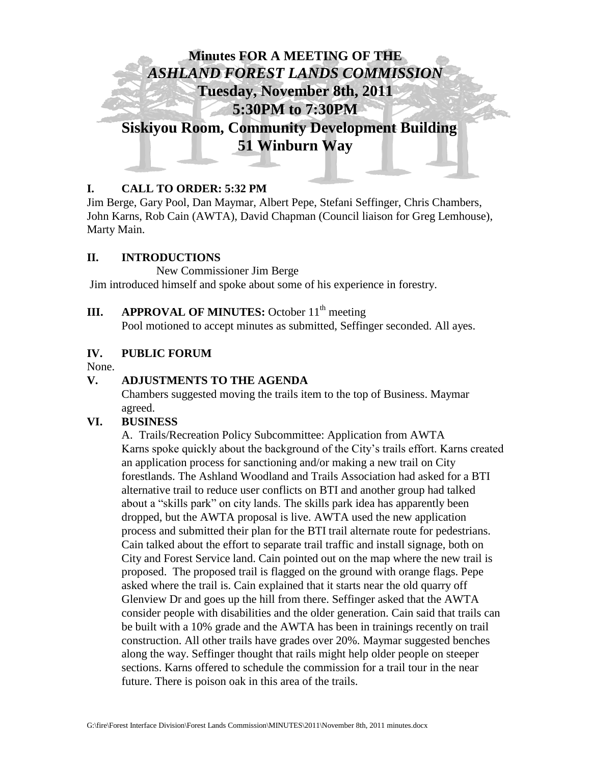

## **I. CALL TO ORDER: 5:32 PM**

Jim Berge, Gary Pool, Dan Maymar, Albert Pepe, Stefani Seffinger, Chris Chambers, John Karns, Rob Cain (AWTA), David Chapman (Council liaison for Greg Lemhouse), Marty Main.

#### **II. INTRODUCTIONS**

New Commissioner Jim Berge Jim introduced himself and spoke about some of his experience in forestry.

## **III. APPROVAL OF MINUTES:** October  $11<sup>th</sup>$  meeting

Pool motioned to accept minutes as submitted, Seffinger seconded. All ayes.

## **IV. PUBLIC FORUM**

None.

### **V. ADJUSTMENTS TO THE AGENDA**

Chambers suggested moving the trails item to the top of Business. Maymar agreed.

## **VI. BUSINESS**

A. Trails/Recreation Policy Subcommittee: Application from AWTA Karns spoke quickly about the background of the City's trails effort. Karns created an application process for sanctioning and/or making a new trail on City forestlands. The Ashland Woodland and Trails Association had asked for a BTI alternative trail to reduce user conflicts on BTI and another group had talked about a "skills park" on city lands. The skills park idea has apparently been dropped, but the AWTA proposal is live. AWTA used the new application process and submitted their plan for the BTI trail alternate route for pedestrians. Cain talked about the effort to separate trail traffic and install signage, both on City and Forest Service land. Cain pointed out on the map where the new trail is proposed. The proposed trail is flagged on the ground with orange flags. Pepe asked where the trail is. Cain explained that it starts near the old quarry off Glenview Dr and goes up the hill from there. Seffinger asked that the AWTA consider people with disabilities and the older generation. Cain said that trails can be built with a 10% grade and the AWTA has been in trainings recently on trail construction. All other trails have grades over 20%. Maymar suggested benches along the way. Seffinger thought that rails might help older people on steeper sections. Karns offered to schedule the commission for a trail tour in the near future. There is poison oak in this area of the trails.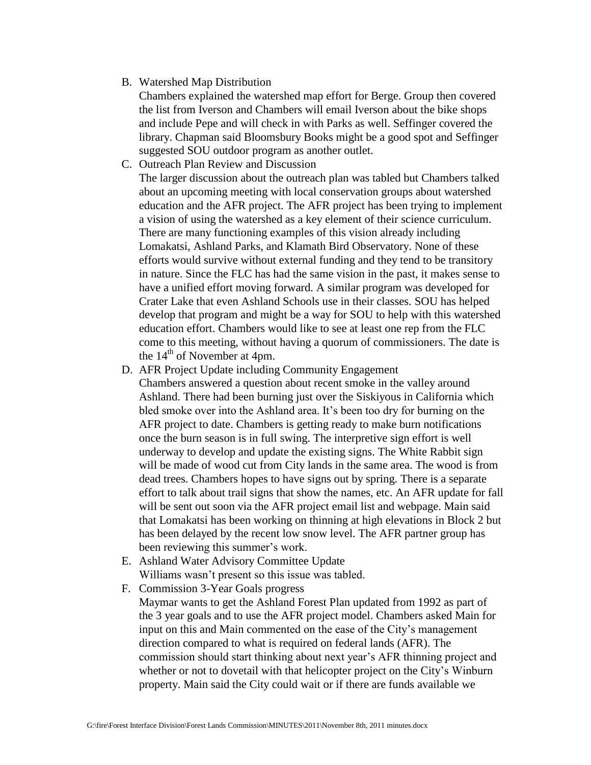B. Watershed Map Distribution

Chambers explained the watershed map effort for Berge. Group then covered the list from Iverson and Chambers will email Iverson about the bike shops and include Pepe and will check in with Parks as well. Seffinger covered the library. Chapman said Bloomsbury Books might be a good spot and Seffinger suggested SOU outdoor program as another outlet.

C. Outreach Plan Review and Discussion

The larger discussion about the outreach plan was tabled but Chambers talked about an upcoming meeting with local conservation groups about watershed education and the AFR project. The AFR project has been trying to implement a vision of using the watershed as a key element of their science curriculum. There are many functioning examples of this vision already including Lomakatsi, Ashland Parks, and Klamath Bird Observatory. None of these efforts would survive without external funding and they tend to be transitory in nature. Since the FLC has had the same vision in the past, it makes sense to have a unified effort moving forward. A similar program was developed for Crater Lake that even Ashland Schools use in their classes. SOU has helped develop that program and might be a way for SOU to help with this watershed education effort. Chambers would like to see at least one rep from the FLC come to this meeting, without having a quorum of commissioners. The date is the  $14<sup>th</sup>$  of November at 4pm.

D. AFR Project Update including Community Engagement

Chambers answered a question about recent smoke in the valley around Ashland. There had been burning just over the Siskiyous in California which bled smoke over into the Ashland area. It's been too dry for burning on the AFR project to date. Chambers is getting ready to make burn notifications once the burn season is in full swing. The interpretive sign effort is well underway to develop and update the existing signs. The White Rabbit sign will be made of wood cut from City lands in the same area. The wood is from dead trees. Chambers hopes to have signs out by spring. There is a separate effort to talk about trail signs that show the names, etc. An AFR update for fall will be sent out soon via the AFR project email list and webpage. Main said that Lomakatsi has been working on thinning at high elevations in Block 2 but has been delayed by the recent low snow level. The AFR partner group has been reviewing this summer's work.

- E. Ashland Water Advisory Committee Update Williams wasn't present so this issue was tabled.
- F. Commission 3-Year Goals progress Maymar wants to get the Ashland Forest Plan updated from 1992 as part of the 3 year goals and to use the AFR project model. Chambers asked Main for input on this and Main commented on the ease of the City's management direction compared to what is required on federal lands (AFR). The commission should start thinking about next year's AFR thinning project and whether or not to dovetail with that helicopter project on the City's Winburn property. Main said the City could wait or if there are funds available we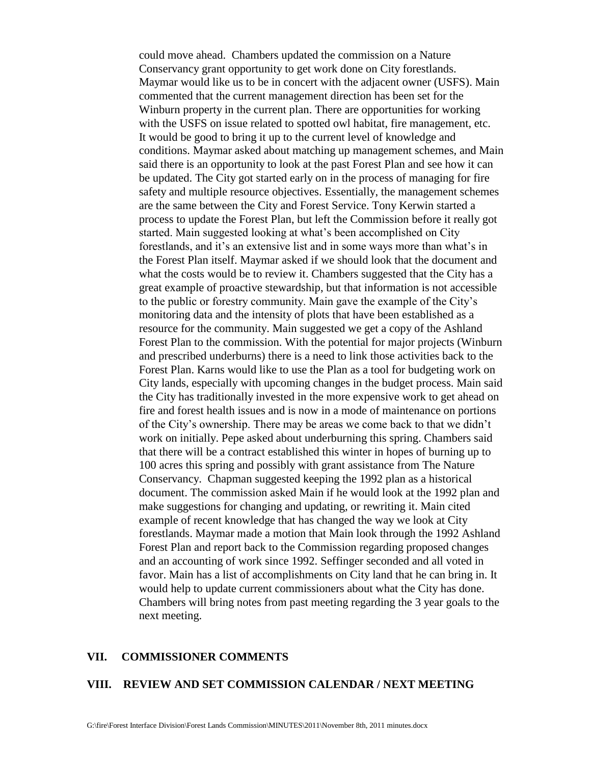could move ahead. Chambers updated the commission on a Nature Conservancy grant opportunity to get work done on City forestlands. Maymar would like us to be in concert with the adjacent owner (USFS). Main commented that the current management direction has been set for the Winburn property in the current plan. There are opportunities for working with the USFS on issue related to spotted owl habitat, fire management, etc. It would be good to bring it up to the current level of knowledge and conditions. Maymar asked about matching up management schemes, and Main said there is an opportunity to look at the past Forest Plan and see how it can be updated. The City got started early on in the process of managing for fire safety and multiple resource objectives. Essentially, the management schemes are the same between the City and Forest Service. Tony Kerwin started a process to update the Forest Plan, but left the Commission before it really got started. Main suggested looking at what's been accomplished on City forestlands, and it's an extensive list and in some ways more than what's in the Forest Plan itself. Maymar asked if we should look that the document and what the costs would be to review it. Chambers suggested that the City has a great example of proactive stewardship, but that information is not accessible to the public or forestry community. Main gave the example of the City's monitoring data and the intensity of plots that have been established as a resource for the community. Main suggested we get a copy of the Ashland Forest Plan to the commission. With the potential for major projects (Winburn and prescribed underburns) there is a need to link those activities back to the Forest Plan. Karns would like to use the Plan as a tool for budgeting work on City lands, especially with upcoming changes in the budget process. Main said the City has traditionally invested in the more expensive work to get ahead on fire and forest health issues and is now in a mode of maintenance on portions of the City's ownership. There may be areas we come back to that we didn't work on initially. Pepe asked about underburning this spring. Chambers said that there will be a contract established this winter in hopes of burning up to 100 acres this spring and possibly with grant assistance from The Nature Conservancy. Chapman suggested keeping the 1992 plan as a historical document. The commission asked Main if he would look at the 1992 plan and make suggestions for changing and updating, or rewriting it. Main cited example of recent knowledge that has changed the way we look at City forestlands. Maymar made a motion that Main look through the 1992 Ashland Forest Plan and report back to the Commission regarding proposed changes and an accounting of work since 1992. Seffinger seconded and all voted in favor. Main has a list of accomplishments on City land that he can bring in. It would help to update current commissioners about what the City has done. Chambers will bring notes from past meeting regarding the 3 year goals to the next meeting.

### **VII. COMMISSIONER COMMENTS**

#### **VIII. REVIEW AND SET COMMISSION CALENDAR / NEXT MEETING**